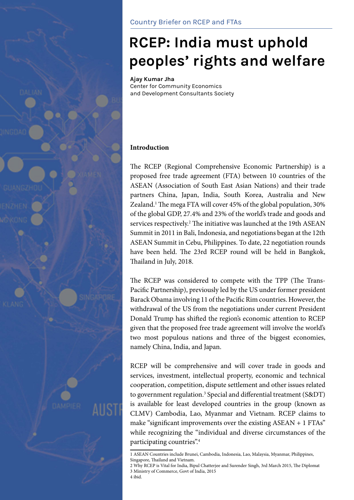

# **RCEP: India must uphold peoples' rights and welfare**

**Ajay Kumar Jha** Center for Community Economics and Development Consultants Society

## **Introduction**

The RCEP (Regional Comprehensive Economic Partnership) is a proposed free trade agreement (FTA) between 10 countries of the ASEAN (Association of South East Asian Nations) and their trade partners China, Japan, India, South Korea, Australia and New Zealand.<sup>1</sup> The mega FTA will cover 45% of the global population, 30% of the global GDP, 27.4% and 23% of the world's trade and goods and services respectively.<sup>2</sup> The initiative was launched at the 19th ASEAN Summit in 2011 in Bali, Indonesia, and negotiations began at the 12th ASEAN Summit in Cebu, Philippines. To date, 22 negotiation rounds have been held. The 23rd RCEP round will be held in Bangkok, Thailand in July, 2018.

The RCEP was considered to compete with the TPP (The Trans-Pacific Partnership), previously led by the US under former president Barack Obama involving 11 of the Pacific Rim countries. However, the withdrawal of the US from the negotiations under current President Donald Trump has shifted the region's economic attention to RCEP given that the proposed free trade agreement will involve the world's two most populous nations and three of the biggest economies, namely China, India, and Japan.

RCEP will be comprehensive and will cover trade in goods and services, investment, intellectual property, economic and technical cooperation, competition, dispute settlement and other issues related to government regulation.<sup>3</sup> Special and differential treatment (S&DT) is available for least developed countries in the group (known as CLMV) Cambodia, Lao, Myanmar and Vietnam. RCEP claims to make "significant improvements over the existing ASEAN + 1 FTAs" while recognizing the "individual and diverse circumstances of the participating countries".4

<sup>1</sup> ASEAN Countries include Brunei, Cambodia, Indonesia, Lao, Malaysia, Myanmar, Philippines, Singapore, Thailand and Vietnam.

<sup>2</sup> Why RCEP is Vital for India, Bipul Chatterjee and Surender Singh, 3rd March 2015, The Diplomat 3 Ministry of Commerce, Govt of India, 2015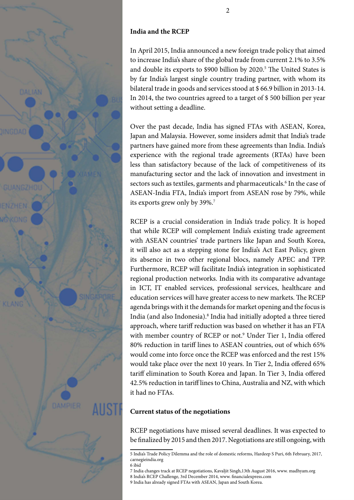

## **India and the RCEP**

In April 2015, India announced a new foreign trade policy that aimed to increase India's share of the global trade from current 2.1% to 3.5% and double its exports to \$900 billion by 2020.<sup>5</sup> The United States is by far India's largest single country trading partner, with whom its bilateral trade in goods and services stood at \$ 66.9 billion in 2013-14. In 2014, the two countries agreed to a target of \$ 500 billion per year without setting a deadline.

Over the past decade, India has signed FTAs with ASEAN, Korea, Japan and Malaysia. However, some insiders admit that India's trade partners have gained more from these agreements than India. India's experience with the regional trade agreements (RTAs) have been less than satisfactory because of the lack of competitiveness of its manufacturing sector and the lack of innovation and investment in sectors such as textiles, garments and pharmaceuticals.<sup>6</sup> In the case of ASEAN-India FTA, India's import from ASEAN rose by 79%, while its exports grew only by 39%.7

RCEP is a crucial consideration in India's trade policy. It is hoped that while RCEP will complement India's existing trade agreement with ASEAN countries' trade partners like Japan and South Korea, it will also act as a stepping stone for India's Act East Policy, given its absence in two other regional blocs, namely APEC and TPP. Furthermore, RCEP will facilitate India's integration in sophisticated regional production networks. India with its comparative advantage in ICT, IT enabled services, professional services, healthcare and education services will have greater access to new markets. The RCEP agenda brings with it the demands for market opening and the focus is India (and also Indonesia).8 India had initially adopted a three tiered approach, where tariff reduction was based on whether it has an FTA with member country of RCEP or not.<sup>9</sup> Under Tier 1, India offered 80% reduction in tariff lines to ASEAN countries, out of which 65% would come into force once the RCEP was enforced and the rest 15% would take place over the next 10 years. In Tier 2, India offered 65% tariff elimination to South Korea and Japan. In Tier 3, India offered 42.5% reduction in tariff lines to China, Australia and NZ, with which it had no FTAs.

#### **Current status of the negotiations**

RCEP negotiations have missed several deadlines. It was expected to be finalized by 2015 and then 2017. Negotiations are still ongoing, with

7 India changes track at RCEP negotiations, Kavaljit Singh,13th August 2016, www. madhyam.org 8 India's RCEP Challenge, 3rd December 2014, www. financialexpress.com

9 India has already signed FTAs with ASEAN, Japan and South Korea.

<sup>5</sup> India's Trade Policy Dilemma and the role of domestic reforms, Hardeep S Puri, 6th February, 2017, carnegieindia.org

<sup>6</sup> ibid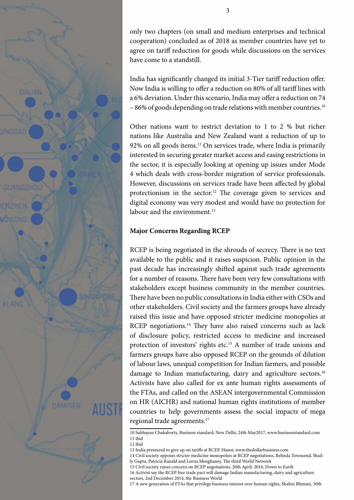

only two chapters (on small and medium enterprises and technical cooperation) concluded as of 2018 as member countries have yet to agree on tariff reduction for goods while discussions on the services have come to a standstill.

India has significantly changed its initial 3-Tier tariff reduction offer. Now India is willing to offer a reduction on 80% of all tariff lines with a 6% deviation. Under this scenario, India may offer a reduction on 74 – 86% of goods depending on trade relations with member countries.10

Other nations want to restrict deviation to 1 to 2 % but richer nations like Australia and New Zealand want a reduction of up to 92% on all goods items.<sup>11</sup> On services trade, where India is primarily interested in securing greater market access and easing restrictions in the sector, it is especially looking at opening up issues under Mode 4 which deals with cross-border migration of service professionals. However, discussions on services trade have been affected by global protectionism in the sector.12 The coverage given to services and digital economy was very modest and would have no protection for labour and the environment.<sup>13</sup>

#### **Major Concerns Regarding RCEP**

RCEP is being negotiated in the shrouds of secrecy. There is no text available to the public and it raises suspicion. Public opinion in the past decade has increasingly shifted against such trade agreements for a number of reasons. There have been very few consultations with stakeholders except business community in the member countries. There have been no public consultations in India either with CSOs and other stakeholders. Civil society and the farmers groups have already raised this issue and have opposed stricter medicine monopolies at RCEP negotiations.<sup>14</sup> They have also raised concerns such as lack of disclosure policy, restricted access to medicine and increased protection of investors' rights etc.15 A number of trade unions and farmers groups have also opposed RCEP on the grounds of dilution of labour laws, unequal competition for Indian farmers, and possible damage to Indian manufacturing, dairy and agriculture sectors.<sup>16</sup> Activists have also called for ex ante human rights assessments of the FTAs, and called on the ASEAN intergovernmental Commission on HR (AICHR) and national human rights institutions of member countries to help governments assess the social impacts of mega regional trade agreements.17

<sup>10</sup> Subhayan Chakaborty, Business standard, New Delhi, 24th May2017, www.businessstandard.com 11 ibid

<sup>12</sup> ibid

<sup>13</sup> India pressured to give up on tariffs at RCEP, Hanoi, www.thedollarbusiness.com

<sup>14</sup> Civil society opposes stricter medicine monopolies at RCEP negotiations, Belinda Townsend, Shailly Gupta, Patricia Ranald and Leena Menghaney, The third World Network

<sup>15</sup> Civil society raises concern on RCEP negotiations, 20th April, 2016, Down to Earth

<sup>16</sup> Activist say the RCEP free trade pact will damage Indian manufacturing, dairy and agriculture sectors, 2nd December 2014, the Business World

<sup>17</sup> A new generation of FTAs that privilege business interest over human rights, Shalini Bhutani, 30th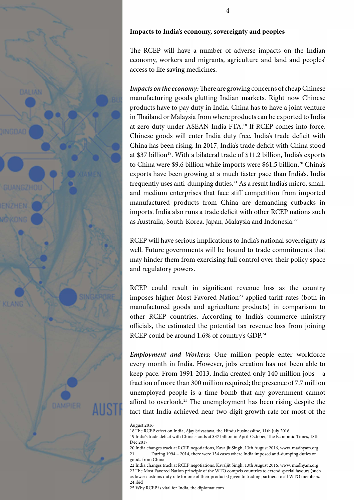

#### **Impacts to India's economy, sovereignty and peoples**

The RCEP will have a number of adverse impacts on the Indian economy, workers and migrants, agriculture and land and peoples' access to life saving medicines.

*Impacts on the economy:* There are growing concerns of cheap Chinese manufacturing goods glutting Indian markets. Right now Chinese products have to pay duty in India. China has to have a joint venture in Thailand or Malaysia from where products can be exported to India at zero duty under ASEAN-India FTA.18 If RCEP comes into force, Chinese goods will enter India duty free. India's trade deficit with China has been rising. In 2017, India's trade deficit with China stood at \$37 billion<sup>19</sup>. With a bilateral trade of \$11.2 billion, India's exports to China were \$9.6 billion while imports were \$61.5 billion.<sup>20</sup> China's exports have been growing at a much faster pace than India's. India frequently uses anti-dumping duties.<sup>21</sup> As a result India's micro, small, and medium enterprises that face stiff competition from imported manufactured products from China are demanding cutbacks in imports. India also runs a trade deficit with other RCEP nations such as Australia, South-Korea, Japan, Malaysia and Indonesia.<sup>22</sup>

RCEP will have serious implications to India's national sovereignty as well. Future governments will be bound to trade commitments that may hinder them from exercising full control over their policy space and regulatory powers.

RCEP could result in significant revenue loss as the country imposes higher Most Favored Nation<sup>23</sup> applied tariff rates (both in manufactured goods and agriculture products) in comparison to other RCEP countries. According to India's commerce ministry officials, the estimated the potential tax revenue loss from joining RCEP could be around 1.6% of country's GDP.<sup>24</sup>

*Employment and Workers:* One million people enter workforce every month in India. However, jobs creation has not been able to keep pace. From 1991-2013, India created only 140 million jobs – a fraction of more than 300 million required; the presence of 7.7 million unemployed people is a time bomb that any government cannot afford to overlook.25 The unemployment has been rising despite the fact that India achieved near two-digit growth rate for most of the

25 Why RCEP is vital for India, the diplomat.com

August 2016

<sup>18</sup> The RCEP effect on India, Ajay Srivastava, the Hindu businessline, 11th July 2016

<sup>19</sup> India's trade deficit with China stands at \$37 billion in April-October, The Economic Times, 18th Dec 2017

<sup>20</sup> India changes track at RCEP negotiations, Kavaljit Singh, 13th August 2016, www. madhyam.org 21 During 1994 – 2014, there were 134 cases where India imposed anti-dumping duties on goods from China.

<sup>22</sup> India changes track at RCEP negotiations, Kavaljit Singh, 13th August 2016, www. madhyam.org 23 The Most Favored Nation principle of the WTO compels countries to extend special favours (such as lower customs duty rate for one of their products) given to trading partners to all WTO members. 24 ibid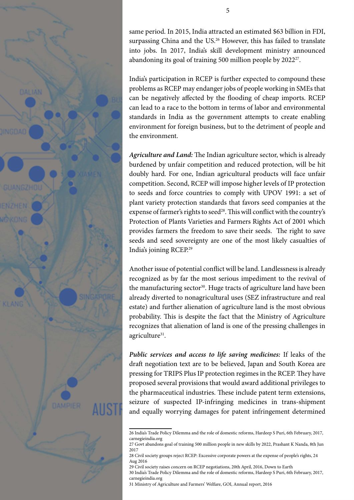

same period. In 2015, India attracted an estimated \$63 billion in FDI, surpassing China and the US.<sup>26</sup> However, this has failed to translate into jobs. In 2017, India's skill development ministry announced abandoning its goal of training 500 million people by 202227.

India's participation in RCEP is further expected to compound these problems as RCEP may endanger jobs of people working in SMEs that can be negatively affected by the flooding of cheap imports. RCEP can lead to a race to the bottom in terms of labor and environmental standards in India as the government attempts to create enabling environment for foreign business, but to the detriment of people and the environment.

*Agriculture and Land:* The Indian agriculture sector, which is already burdened by unfair competition and reduced protection, will be hit doubly hard. For one, Indian agricultural products will face unfair competition. Second, RCEP will impose higher levels of IP protection to seeds and force countries to comply with UPOV 1991: a set of plant variety protection standards that favors seed companies at the expense of farmer's rights to seed<sup>28</sup>. This will conflict with the country's Protection of Plants Varieties and Farmers Rights Act of 2001 which provides farmers the freedom to save their seeds. The right to save seeds and seed sovereignty are one of the most likely casualties of India's joining RCEP.29

Another issue of potential conflict will be land. Landlessness is already recognized as by far the most serious impediment to the revival of the manufacturing sector<sup>30</sup>. Huge tracts of agriculture land have been already diverted to nonagricultural uses (SEZ infrastructure and real estate) and further alienation of agriculture land is the most obvious probability. This is despite the fact that the Ministry of Agriculture recognizes that alienation of land is one of the pressing challenges in agriculture<sup>31</sup>.

*Public services and access to life saving medicines:* If leaks of the draft negotiation text are to be believed, Japan and South Korea are pressing for TRIPS Plus IP protection regimes in the RCEP. They have proposed several provisions that would award additional privileges to the pharmaceutical industries. These include patent term extensions, seizure of suspected IP-infringing medicines in trans-shipment and equally worrying damages for patent infringement determined

<sup>26</sup> India's Trade Policy Dilemma and the role of domestic reforms, Hardeep S Puri, 6th February, 2017, carnegieindia.org

<sup>27</sup> Govt abandons goal of training 500 million people in new skills by 2022, Prashant K Nanda, 8th Jun 2017

<sup>28</sup> Civil society groups reject RCEP: Excessive corporate powers at the expense of people's rights, 24 Aug 2016

<sup>29</sup> Civil society raises concern on RCEP negotiations, 20th April, 2016, Down to Earth

<sup>30</sup> India's Trade Policy Dilemma and the role of domestic reforms, Hardeep S Puri, 6th February, 2017, carnegieindia.org

<sup>31</sup> Ministry of Agriculture and Farmers' Welfare, GOI, Annual report, 2016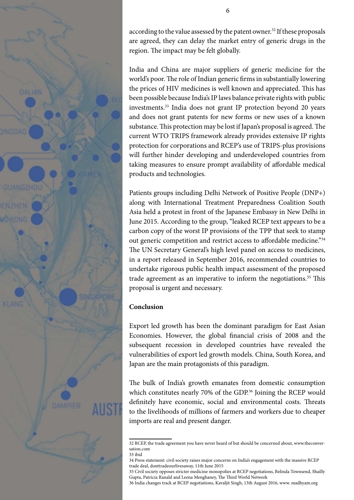

according to the value assessed by the patent owner.<sup>32</sup> If these proposals are agreed, they can delay the market entry of generic drugs in the region. The impact may be felt globally.

India and China are major suppliers of generic medicine for the world's poor. The role of Indian generic firms in substantially lowering the prices of HIV medicines is well known and appreciated. This has been possible because India's IP laws balance private rights with public investments.<sup>33</sup> India does not grant IP protection beyond 20 years and does not grant patents for new forms or new uses of a known substance. This protection may be lost if Japan's proposal is agreed. The current WTO TRIPS framework already provides extensive IP rights protection for corporations and RCEP's use of TRIPS-plus provisions will further hinder developing and underdeveloped countries from taking measures to ensure prompt availability of affordable medical products and technologies.

Patients groups including Delhi Network of Positive People (DNP+) along with International Treatment Preparedness Coalition South Asia held a protest in front of the Japanese Embassy in New Delhi in June 2015. According to the group, "leaked RCEP text appears to be a carbon copy of the worst IP provisions of the TPP that seek to stamp out generic competition and restrict access to affordable medicine."34 The UN Secretary General's high level panel on access to medicines, in a report released in September 2016, recommended countries to undertake rigorous public health impact assessment of the proposed trade agreement as an imperative to inform the negotiations.<sup>35</sup> This proposal is urgent and necessary.

## **Conclusion**

Export led growth has been the dominant paradigm for East Asian Economies. However, the global financial crisis of 2008 and the subsequent recession in developed countries have revealed the vulnerabilities of export led growth models. China, South Korea, and Japan are the main protagonists of this paradigm.

The bulk of India's growth emanates from domestic consumption which constitutes nearly 70% of the GDP.<sup>36</sup> Joining the RCEP would definitely have economic, social and environmental costs. Threats to the livelihoods of millions of farmers and workers due to cheaper imports are real and present danger.

<sup>32</sup> RCEP, the trade agreement you have never heard of but should be concerned about, www.theconversation.com

<sup>33</sup> ibid

<sup>34</sup> Press statement: civil society raises major concerns on India's engagement with the massive RCEP trade deal, donttradeourlivesaway, 11th June 2015

<sup>35</sup> Civil society opposes stricter medicine monopolies at RCEP negotiations, Belinda Townsend, Shailly Gupta, Patricia Ranald and Leena Menghaney, The Third World Network

<sup>36</sup> India changes track at RCEP negotiations, Kavaljit Singh, 13th August 2016, www. madhyam.org